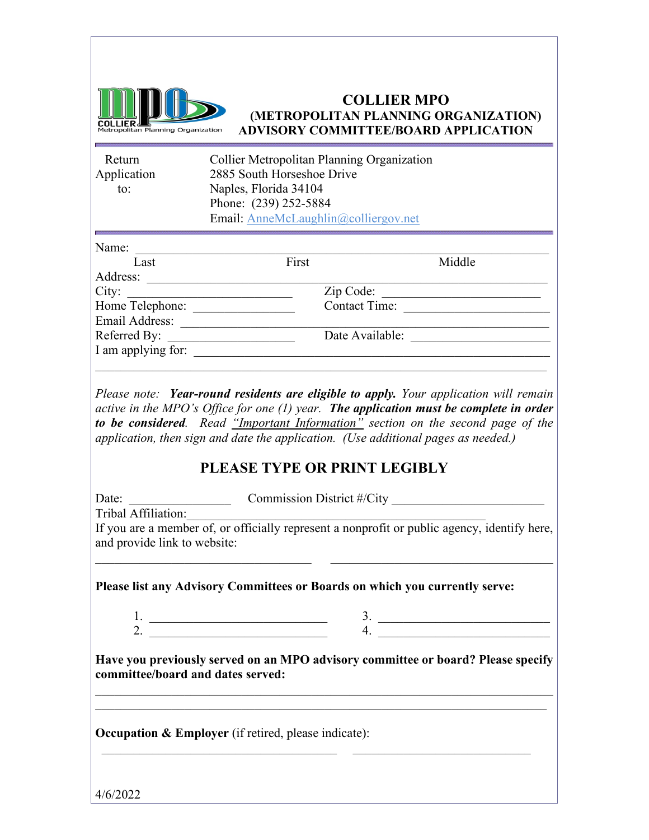

#### **COLLIER MPO (METROPOLITAN PLANNING ORGANIZATION) ADVISORY COMMITTEE/BOARD APPLICATION**

| Return<br>Application<br>to:                                 | <b>Collier Metropolitan Planning Organization</b><br>2885 South Horseshoe Drive<br>Naples, Florida 34104<br>Phone: (239) 252-5884<br>Email: AnneMcLaughlin@colliergov.net |                                                                                              |
|--------------------------------------------------------------|---------------------------------------------------------------------------------------------------------------------------------------------------------------------------|----------------------------------------------------------------------------------------------|
| Name:                                                        |                                                                                                                                                                           |                                                                                              |
| Last                                                         | First                                                                                                                                                                     | Middle                                                                                       |
| Address:                                                     |                                                                                                                                                                           |                                                                                              |
| City:                                                        |                                                                                                                                                                           | Zip Code:                                                                                    |
| Email Address:                                               | Home Telephone:                                                                                                                                                           | Contact Time:                                                                                |
| Referred By:                                                 | Date Available:                                                                                                                                                           |                                                                                              |
| I am applying for:                                           |                                                                                                                                                                           |                                                                                              |
| Date:<br>Tribal Affiliation:<br>and provide link to website: | Commission District #/City                                                                                                                                                | If you are a member of, or officially represent a nonprofit or public agency, identify here, |
|                                                              | Please list any Advisory Committees or Boards on which you currently serve:                                                                                               |                                                                                              |
| 1.                                                           | 3.                                                                                                                                                                        |                                                                                              |
| 2.                                                           | 4.                                                                                                                                                                        |                                                                                              |
|                                                              | committee/board and dates served:                                                                                                                                         | Have you previously served on an MPO advisory committee or board? Please specify             |
|                                                              | Occupation & Employer (if retired, please indicate):                                                                                                                      |                                                                                              |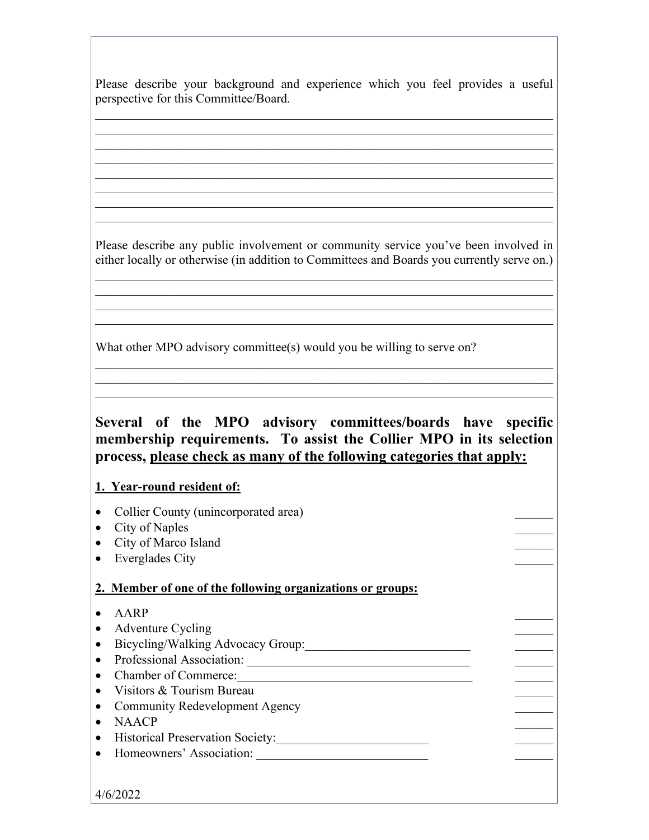Please describe your background and experience which you feel provides a useful perspective for this Committee/Board.

 $\mathcal{L}_\text{G}$  , and the contribution of the contribution of the contribution of the contribution of the contribution of the contribution of the contribution of the contribution of the contribution of the contribution of t  $\mathcal{L}_\text{G}$  , and the contribution of the contribution of the contribution of the contribution of the contribution of the contribution of the contribution of the contribution of the contribution of the contribution of t  $\mathcal{L}_\text{G}$  , and the contribution of the contribution of the contribution of the contribution of the contribution of the contribution of the contribution of the contribution of the contribution of the contribution of t  $\mathcal{L}_\text{max} = \mathcal{L}_\text{max} = \mathcal{L}_\text{max} = \mathcal{L}_\text{max} = \mathcal{L}_\text{max} = \mathcal{L}_\text{max} = \mathcal{L}_\text{max} = \mathcal{L}_\text{max} = \mathcal{L}_\text{max} = \mathcal{L}_\text{max} = \mathcal{L}_\text{max} = \mathcal{L}_\text{max} = \mathcal{L}_\text{max} = \mathcal{L}_\text{max} = \mathcal{L}_\text{max} = \mathcal{L}_\text{max} = \mathcal{L}_\text{max} = \mathcal{L}_\text{max} = \mathcal{$ 

Please describe any public involvement or community service you've been involved in either locally or otherwise (in addition to Committees and Boards you currently serve on.)

 $\mathcal{L}_\text{G}$  , and the contribution of the contribution of the contribution of the contribution of the contribution of the contribution of the contribution of the contribution of the contribution of the contribution of t  $\mathcal{L}_\text{G}$  , and the contribution of the contribution of the contribution of the contribution of the contribution of the contribution of the contribution of the contribution of the contribution of the contribution of t  $\mathcal{L}_\text{G}$  , and the contribution of the contribution of the contribution of the contribution of the contribution of the contribution of the contribution of the contribution of the contribution of the contribution of t  $\mathcal{L}_\text{max} = \mathcal{L}_\text{max} = \mathcal{L}_\text{max} = \mathcal{L}_\text{max} = \mathcal{L}_\text{max} = \mathcal{L}_\text{max} = \mathcal{L}_\text{max} = \mathcal{L}_\text{max} = \mathcal{L}_\text{max} = \mathcal{L}_\text{max} = \mathcal{L}_\text{max} = \mathcal{L}_\text{max} = \mathcal{L}_\text{max} = \mathcal{L}_\text{max} = \mathcal{L}_\text{max} = \mathcal{L}_\text{max} = \mathcal{L}_\text{max} = \mathcal{L}_\text{max} = \mathcal{$ 

 $\mathcal{L}_\text{G}$  , and the contribution of the contribution of the contribution of the contribution of the contribution of the contribution of the contribution of the contribution of the contribution of the contribution of t  $\mathcal{L}_\text{G}$  , and the contribution of the contribution of the contribution of the contribution of the contribution of the contribution of the contribution of the contribution of the contribution of the contribution of t

What other MPO advisory committee(s) would you be willing to serve on?

## **Several of the MPO advisory committees/boards have specific membership requirements. To assist the Collier MPO in its selection process, please check as many of the following categories that apply:**

 $\mathcal{L}_\text{G}$  , and the contribution of the contribution of the contribution of the contribution of the contribution of the contribution of the contribution of the contribution of the contribution of the contribution of t  $\mathcal{L}_\text{G}$  , and the contribution of the contribution of the contribution of the contribution of the contribution of the contribution of the contribution of the contribution of the contribution of the contribution of t  $\mathcal{L}_\text{max} = \mathcal{L}_\text{max} = \mathcal{L}_\text{max} = \mathcal{L}_\text{max} = \mathcal{L}_\text{max} = \mathcal{L}_\text{max} = \mathcal{L}_\text{max} = \mathcal{L}_\text{max} = \mathcal{L}_\text{max} = \mathcal{L}_\text{max} = \mathcal{L}_\text{max} = \mathcal{L}_\text{max} = \mathcal{L}_\text{max} = \mathcal{L}_\text{max} = \mathcal{L}_\text{max} = \mathcal{L}_\text{max} = \mathcal{L}_\text{max} = \mathcal{L}_\text{max} = \mathcal{$ 

### **1. Year-round resident of:**

- Collier County (unincorporated area)
- City of Naples
- City of Marco Island
- Everglades City

### **2. Member of one of the following organizations or groups:**

- AARP
- Adventure Cycling
- Bicycling/Walking Advocacy Group:
- Professional Association: \_\_\_\_\_\_\_\_\_\_\_\_\_\_\_\_\_\_\_\_\_\_\_\_\_\_\_\_\_\_\_\_\_\_\_ \_\_\_\_\_\_
- Chamber of Commerce:
- Visitors & Tourism Bureau
- Community Redevelopment Agency
- NAACP
- Historical Preservation Society:
- Homeowners' Association: \_\_\_\_\_\_\_\_\_\_\_\_\_\_\_\_\_\_\_\_\_\_\_\_\_\_\_ \_\_\_\_\_\_

4/6/2022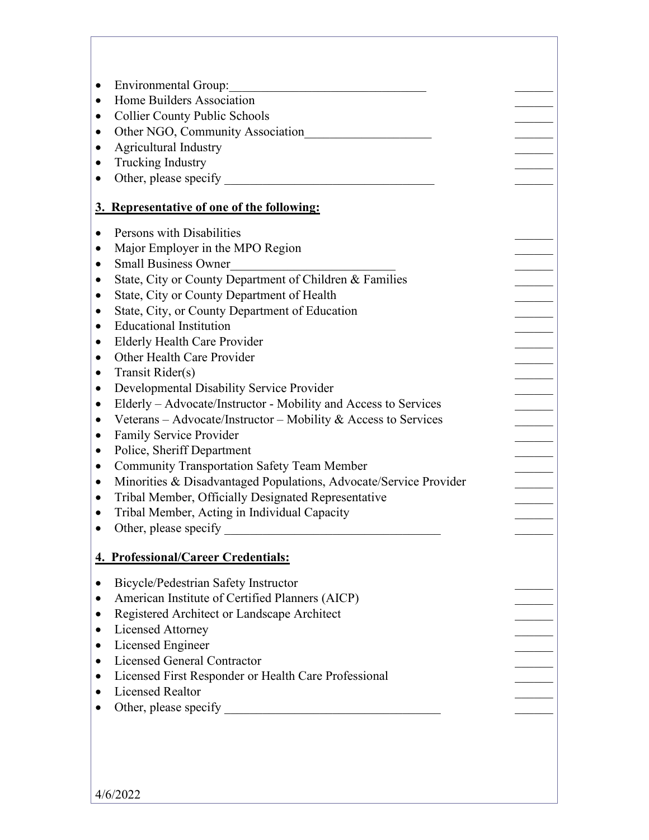| <b>Environmental Group:</b><br>٠                                               |  |
|--------------------------------------------------------------------------------|--|
| Home Builders Association<br>$\bullet$                                         |  |
| <b>Collier County Public Schools</b><br>٠                                      |  |
| Other NGO, Community Association<br>٠                                          |  |
| Agricultural Industry<br>٠                                                     |  |
| Trucking Industry<br>$\bullet$                                                 |  |
| $\bullet$                                                                      |  |
|                                                                                |  |
| 3. Representative of one of the following:                                     |  |
|                                                                                |  |
| Persons with Disabilities<br>$\bullet$                                         |  |
| Major Employer in the MPO Region<br>$\bullet$                                  |  |
| <b>Small Business Owner</b><br>٠                                               |  |
| State, City or County Department of Children & Families<br>٠                   |  |
| State, City or County Department of Health<br>٠                                |  |
| State, City, or County Department of Education<br>٠                            |  |
| <b>Educational Institution</b><br>$\bullet$                                    |  |
| <b>Elderly Health Care Provider</b><br>$\bullet$                               |  |
| Other Health Care Provider<br>$\bullet$                                        |  |
| Transit Rider(s)<br>$\bullet$                                                  |  |
| Developmental Disability Service Provider<br>$\bullet$                         |  |
| Elderly – Advocate/Instructor - Mobility and Access to Services<br>$\bullet$   |  |
| Veterans – Advocate/Instructor – Mobility & Access to Services<br>$\bullet$    |  |
| Family Service Provider<br>٠                                                   |  |
| Police, Sheriff Department<br>$\bullet$                                        |  |
| <b>Community Transportation Safety Team Member</b><br>٠                        |  |
| Minorities & Disadvantaged Populations, Advocate/Service Provider<br>$\bullet$ |  |
| Tribal Member, Officially Designated Representative<br>$\bullet$               |  |
| Tribal Member, Acting in Individual Capacity<br>$\bullet$                      |  |
|                                                                                |  |
| 4. Professional/Career Credentials:                                            |  |
| Bicycle/Pedestrian Safety Instructor<br>٠                                      |  |
| American Institute of Certified Planners (AICP)<br>٠                           |  |
| Registered Architect or Landscape Architect                                    |  |
| <b>Licensed Attorney</b><br>$\bullet$                                          |  |
| Licensed Engineer<br>٠                                                         |  |
| <b>Licensed General Contractor</b><br>٠                                        |  |
| Licensed First Responder or Health Care Professional<br>٠                      |  |
| <b>Licensed Realtor</b><br>$\bullet$                                           |  |
|                                                                                |  |
|                                                                                |  |
|                                                                                |  |
|                                                                                |  |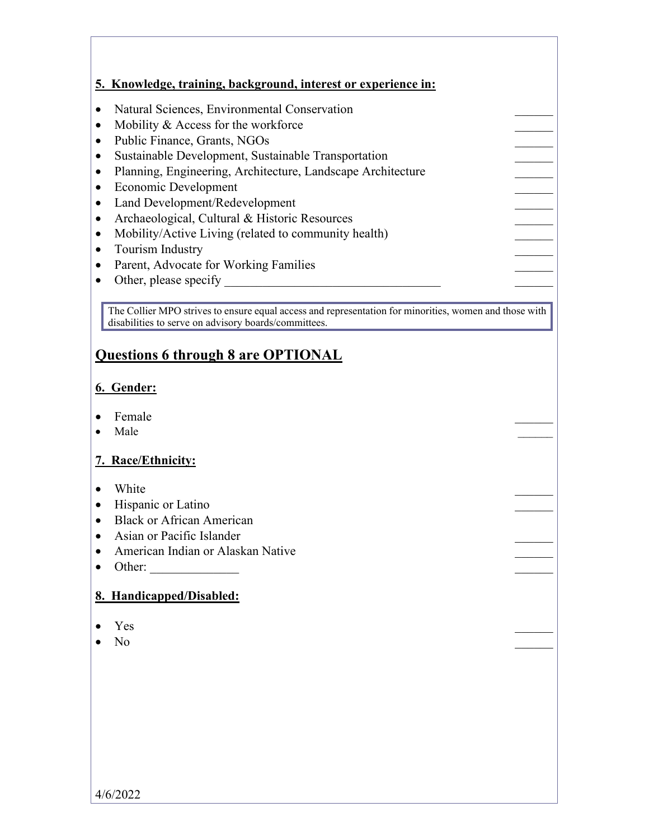|           | 5. Knowledge, training, background, interest or experience in: |
|-----------|----------------------------------------------------------------|
|           |                                                                |
|           | Natural Sciences, Environmental Conservation                   |
|           | Mobility & Access for the workforce                            |
| $\bullet$ | Public Finance, Grants, NGOs                                   |
|           | Sustainable Development, Sustainable Transportation            |
|           | Planning, Engineering, Architecture, Landscape Architecture    |
|           | Economic Development                                           |
|           | Land Development/Redevelopment                                 |
|           | Archaeological, Cultural & Historic Resources                  |
|           | Mobility/Active Living (related to community health)           |
|           | Tourism Industry                                               |
|           | Parent, Advocate for Working Families                          |
|           | Other, please specify                                          |
|           |                                                                |

The Collier MPO strives to ensure equal access and representation for minorities, women and those with disabilities to serve on advisory boards/committees.

# **Questions 6 through 8 are OPTIONAL**

## **6. Gender:**

- Female **Francische Executive Contract Contract Contract Contract Contract Contract Contract Contract Contract Contract Contract Contract Contract Contract Contract Contract Contract Contract Contract Contract Contract Co**
- Male  $\overline{\phantom{a}}$

### **7. Race/Ethnicity:**

- White  $\blacksquare$
- Hispanic or Latino
- Black or African American
- Asian or Pacific Islander
- American Indian or Alaskan Native \_\_\_\_\_\_
- Other:  $\_\_$

### **8. Handicapped/Disabled:**

- Yes  $\overline{\phantom{a}}$
- No  $\blacksquare$